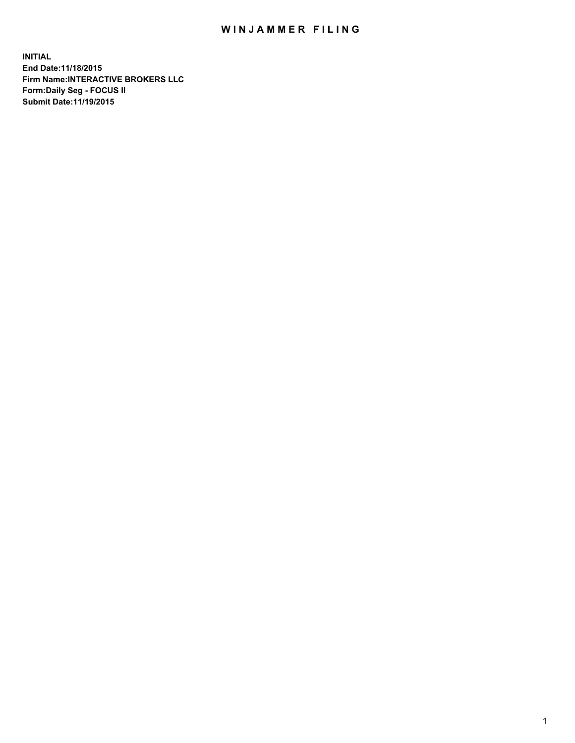## WIN JAMMER FILING

**INITIAL End Date:11/18/2015 Firm Name:INTERACTIVE BROKERS LLC Form:Daily Seg - FOCUS II Submit Date:11/19/2015**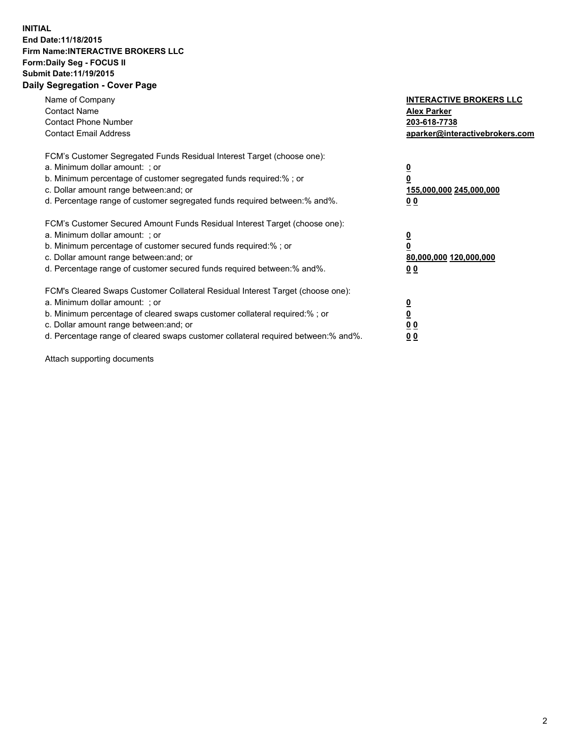## **INITIAL End Date:11/18/2015 Firm Name:INTERACTIVE BROKERS LLC Form:Daily Seg - FOCUS II Submit Date:11/19/2015 Daily Segregation - Cover Page**

| Name of Company<br><b>Contact Name</b><br><b>Contact Phone Number</b><br><b>Contact Email Address</b>                                                                                                                                                                                                                         | <b>INTERACTIVE BROKERS LLC</b><br><b>Alex Parker</b><br>203-618-7738<br>aparker@interactivebrokers.com |
|-------------------------------------------------------------------------------------------------------------------------------------------------------------------------------------------------------------------------------------------------------------------------------------------------------------------------------|--------------------------------------------------------------------------------------------------------|
| FCM's Customer Segregated Funds Residual Interest Target (choose one):<br>a. Minimum dollar amount: ; or<br>b. Minimum percentage of customer segregated funds required:% ; or<br>c. Dollar amount range between: and; or<br>d. Percentage range of customer segregated funds required between:% and%.                        | <u>0</u><br><u>155,000,000 245,000,000</u><br>00                                                       |
| FCM's Customer Secured Amount Funds Residual Interest Target (choose one):<br>a. Minimum dollar amount: ; or<br>b. Minimum percentage of customer secured funds required:% ; or<br>c. Dollar amount range between: and; or<br>d. Percentage range of customer secured funds required between: % and %.                        | $\overline{\mathbf{0}}$<br>80,000,000 120,000,000<br>00                                                |
| FCM's Cleared Swaps Customer Collateral Residual Interest Target (choose one):<br>a. Minimum dollar amount: ; or<br>b. Minimum percentage of cleared swaps customer collateral required:%; or<br>c. Dollar amount range between: and; or<br>d. Percentage range of cleared swaps customer collateral required between:% and%. | <u>0</u><br>0 <sub>0</sub><br><u>00</u>                                                                |

Attach supporting documents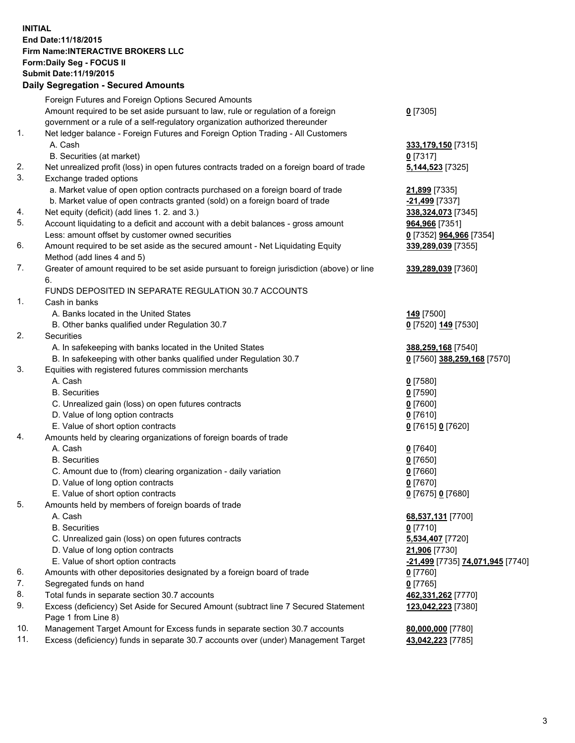## **INITIAL End Date:11/18/2015 Firm Name:INTERACTIVE BROKERS LLC Form:Daily Seg - FOCUS II Submit Date:11/19/2015 Daily Segregation - Secured Amounts**

|     | Daily Jegiegation - Jeculeu Alliounts                                                       |                                  |
|-----|---------------------------------------------------------------------------------------------|----------------------------------|
|     | Foreign Futures and Foreign Options Secured Amounts                                         |                                  |
|     | Amount required to be set aside pursuant to law, rule or regulation of a foreign            | $0$ [7305]                       |
|     | government or a rule of a self-regulatory organization authorized thereunder                |                                  |
| 1.  | Net ledger balance - Foreign Futures and Foreign Option Trading - All Customers             |                                  |
|     | A. Cash                                                                                     | 333,179,150 [7315]               |
|     | B. Securities (at market)                                                                   | $0$ [7317]                       |
| 2.  | Net unrealized profit (loss) in open futures contracts traded on a foreign board of trade   | 5,144,523 [7325]                 |
| 3.  | Exchange traded options                                                                     |                                  |
|     | a. Market value of open option contracts purchased on a foreign board of trade              | 21,899 [7335]                    |
|     | b. Market value of open contracts granted (sold) on a foreign board of trade                | -21,499 [7337]                   |
| 4.  | Net equity (deficit) (add lines 1. 2. and 3.)                                               | 338, 324, 073 [7345]             |
| 5.  | Account liquidating to a deficit and account with a debit balances - gross amount           | 964,966 [7351]                   |
|     |                                                                                             |                                  |
| 6.  | Less: amount offset by customer owned securities                                            | 0 [7352] 964,966 [7354]          |
|     | Amount required to be set aside as the secured amount - Net Liquidating Equity              | 339,289,039 [7355]               |
|     | Method (add lines 4 and 5)                                                                  |                                  |
| 7.  | Greater of amount required to be set aside pursuant to foreign jurisdiction (above) or line | 339,289,039 [7360]               |
|     | 6.                                                                                          |                                  |
|     | FUNDS DEPOSITED IN SEPARATE REGULATION 30.7 ACCOUNTS                                        |                                  |
| 1.  | Cash in banks                                                                               |                                  |
|     | A. Banks located in the United States                                                       | <b>149</b> [7500]                |
|     | B. Other banks qualified under Regulation 30.7                                              | 0 [7520] 149 [7530]              |
| 2.  | Securities                                                                                  |                                  |
|     | A. In safekeeping with banks located in the United States                                   | 388,259,168 [7540]               |
|     | B. In safekeeping with other banks qualified under Regulation 30.7                          | 0 [7560] 388,259,168 [7570]      |
| 3.  | Equities with registered futures commission merchants                                       |                                  |
|     | A. Cash                                                                                     | $0$ [7580]                       |
|     | <b>B.</b> Securities                                                                        | $0$ [7590]                       |
|     | C. Unrealized gain (loss) on open futures contracts                                         | $0$ [7600]                       |
|     | D. Value of long option contracts                                                           | $0$ [7610]                       |
|     | E. Value of short option contracts                                                          | 0 [7615] 0 [7620]                |
| 4.  | Amounts held by clearing organizations of foreign boards of trade                           |                                  |
|     | A. Cash                                                                                     | $0$ [7640]                       |
|     | <b>B.</b> Securities                                                                        | $0$ [7650]                       |
|     | C. Amount due to (from) clearing organization - daily variation                             | $0$ [7660]                       |
|     | D. Value of long option contracts                                                           | $0$ [7670]                       |
|     | E. Value of short option contracts                                                          | 0 [7675] 0 [7680]                |
| 5.  | Amounts held by members of foreign boards of trade                                          |                                  |
|     | A. Cash                                                                                     | 68,537,131 [7700]                |
|     | <b>B.</b> Securities                                                                        | $0$ [7710]                       |
|     | C. Unrealized gain (loss) on open futures contracts                                         | 5,534,407 [7720]                 |
|     | D. Value of long option contracts                                                           | 21,906 [7730]                    |
|     | E. Value of short option contracts                                                          | -21,499 [7735] 74,071,945 [7740] |
| 6.  | Amounts with other depositories designated by a foreign board of trade                      | 0 [7760]                         |
| 7.  | Segregated funds on hand                                                                    | $0$ [7765]                       |
| 8.  | Total funds in separate section 30.7 accounts                                               | 462,331,262 [7770]               |
| 9.  | Excess (deficiency) Set Aside for Secured Amount (subtract line 7 Secured Statement         | 123,042,223 [7380]               |
|     | Page 1 from Line 8)                                                                         |                                  |
| 10. | Management Target Amount for Excess funds in separate section 30.7 accounts                 | 80,000,000 [7780]                |
| 11. | Excess (deficiency) funds in separate 30.7 accounts over (under) Management Target          | 43,042,223 [7785]                |
|     |                                                                                             |                                  |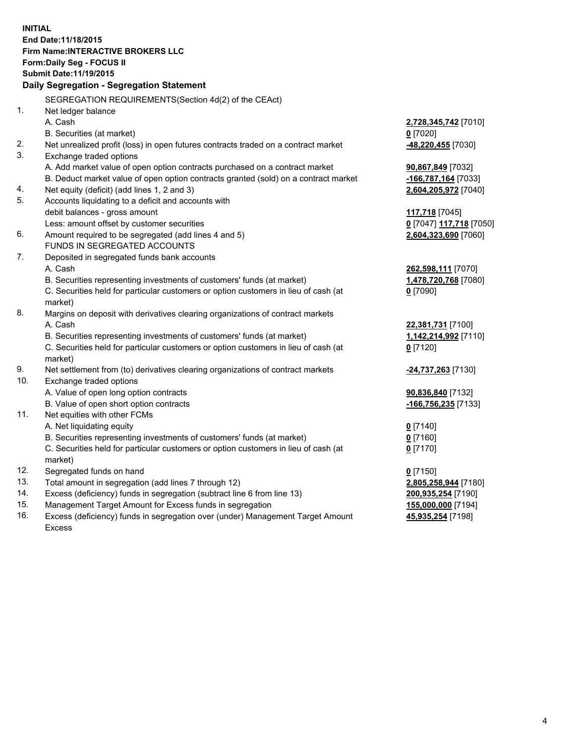**INITIAL End Date:11/18/2015 Firm Name:INTERACTIVE BROKERS LLC Form:Daily Seg - FOCUS II Submit Date:11/19/2015 Daily Segregation - Segregation Statement** SEGREGATION REQUIREMENTS(Section 4d(2) of the CEAct) 1. Net ledger balance A. Cash **2,728,345,742** [7010] B. Securities (at market) **0** [7020] 2. Net unrealized profit (loss) in open futures contracts traded on a contract market **-48,220,455** [7030] 3. Exchange traded options A. Add market value of open option contracts purchased on a contract market **90,867,849** [7032] B. Deduct market value of open option contracts granted (sold) on a contract market **-166,787,164** [7033] 4. Net equity (deficit) (add lines 1, 2 and 3) **2,604,205,972** [7040] 5. Accounts liquidating to a deficit and accounts with debit balances - gross amount **117,718** [7045] Less: amount offset by customer securities **0** [7047] **117,718** [7050] 6. Amount required to be segregated (add lines 4 and 5) **2,604,323,690** [7060] FUNDS IN SEGREGATED ACCOUNTS 7. Deposited in segregated funds bank accounts A. Cash **262,598,111** [7070] B. Securities representing investments of customers' funds (at market) **1,478,720,768** [7080] C. Securities held for particular customers or option customers in lieu of cash (at market) **0** [7090] 8. Margins on deposit with derivatives clearing organizations of contract markets A. Cash **22,381,731** [7100] B. Securities representing investments of customers' funds (at market) **1,142,214,992** [7110] C. Securities held for particular customers or option customers in lieu of cash (at market) **0** [7120] 9. Net settlement from (to) derivatives clearing organizations of contract markets **-24,737,263** [7130] 10. Exchange traded options A. Value of open long option contracts **90,836,840** [7132] B. Value of open short option contracts **-166,756,235** [7133] 11. Net equities with other FCMs A. Net liquidating equity **0** [7140] B. Securities representing investments of customers' funds (at market) **0** [7160] C. Securities held for particular customers or option customers in lieu of cash (at market) **0** [7170] 12. Segregated funds on hand **0** [7150] 13. Total amount in segregation (add lines 7 through 12) **2,805,258,944** [7180] 14. Excess (deficiency) funds in segregation (subtract line 6 from line 13) **200,935,254** [7190] 15. Management Target Amount for Excess funds in segregation **155,000,000** [7194] **45,935,254** [7198]

16. Excess (deficiency) funds in segregation over (under) Management Target Amount Excess